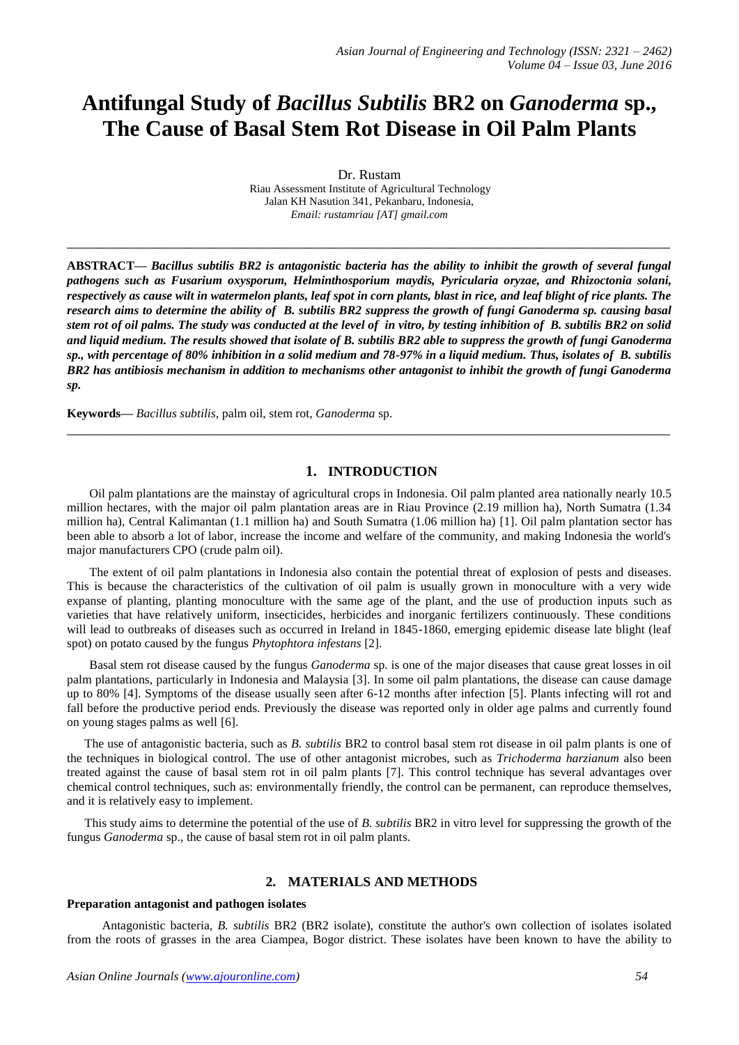# **Antifungal Study of** *Bacillus Subtilis* **BR2 on** *Ganoderma* **sp., The Cause of Basal Stem Rot Disease in Oil Palm Plants**

Dr. Rustam Riau Assessment Institute of Agricultural Technology Jalan KH Nasution 341, Pekanbaru, Indonesia, *Email: rustamriau [AT] gmail.com* 

**\_\_\_\_\_\_\_\_\_\_\_\_\_\_\_\_\_\_\_\_\_\_\_\_\_\_\_\_\_\_\_\_\_\_\_\_\_\_\_\_\_\_\_\_\_\_\_\_\_\_\_\_\_\_\_\_\_\_\_\_\_\_\_\_\_\_\_\_\_\_\_\_\_\_\_\_\_\_\_\_\_**

**ABSTRACT—** *Bacillus subtilis BR2 is antagonistic bacteria has the ability to inhibit the growth of several fungal pathogens such as Fusarium oxysporum, Helminthosporium maydis, Pyricularia oryzae, and Rhizoctonia solani, respectively as cause wilt in watermelon plants, leaf spot in corn plants, blast in rice, and leaf blight of rice plants. The research aims to determine the ability of B. subtilis BR2 suppress the growth of fungi Ganoderma sp. causing basal stem rot of oil palms. The study was conducted at the level of in vitro, by testing inhibition of B. subtilis BR2 on solid and liquid medium. The results showed that isolate of B. subtilis BR2 able to suppress the growth of fungi Ganoderma sp., with percentage of 80% inhibition in a solid medium and 78-97% in a liquid medium. Thus, isolates of B. subtilis BR2 has antibiosis mechanism in addition to mechanisms other antagonist to inhibit the growth of fungi Ganoderma sp.*

**Keywords—** *Bacillus subtilis*, palm oil, stem rot, *Ganoderma* sp.

# **1. INTRODUCTION**

**\_\_\_\_\_\_\_\_\_\_\_\_\_\_\_\_\_\_\_\_\_\_\_\_\_\_\_\_\_\_\_\_\_\_\_\_\_\_\_\_\_\_\_\_\_\_\_\_\_\_\_\_\_\_\_\_\_\_\_\_\_\_\_\_\_\_\_\_\_\_\_\_\_\_\_\_\_\_\_\_\_**

Oil palm plantations are the mainstay of agricultural crops in Indonesia. Oil palm planted area nationally nearly 10.5 million hectares, with the major oil palm plantation areas are in Riau Province (2.19 million ha), North Sumatra (1.34 million ha), Central Kalimantan (1.1 million ha) and South Sumatra (1.06 million ha) [1]. Oil palm plantation sector has been able to absorb a lot of labor, increase the income and welfare of the community, and making Indonesia the world's major manufacturers CPO (crude palm oil).

The extent of oil palm plantations in Indonesia also contain the potential threat of explosion of pests and diseases. This is because the characteristics of the cultivation of oil palm is usually grown in monoculture with a very wide expanse of planting, planting monoculture with the same age of the plant, and the use of production inputs such as varieties that have relatively uniform, insecticides, herbicides and inorganic fertilizers continuously. These conditions will lead to outbreaks of diseases such as occurred in Ireland in 1845-1860, emerging epidemic disease late blight (leaf spot) on potato caused by the fungus *Phytophtora infestans* [2].

Basal stem rot disease caused by the fungus *Ganoderma* sp. is one of the major diseases that cause great losses in oil palm plantations, particularly in Indonesia and Malaysia [3]. In some oil palm plantations, the disease can cause damage up to 80% [4]. Symptoms of the disease usually seen after 6-12 months after infection [5]. Plants infecting will rot and fall before the productive period ends. Previously the disease was reported only in older age palms and currently found on young stages palms as well [6].

The use of antagonistic bacteria, such as *B. subtilis* BR2 to control basal stem rot disease in oil palm plants is one of the techniques in biological control. The use of other antagonist microbes, such as *Trichoderma harzianum* also been treated against the cause of basal stem rot in oil palm plants [7]. This control technique has several advantages over chemical control techniques, such as: environmentally friendly, the control can be permanent, can reproduce themselves, and it is relatively easy to implement.

This study aims to determine the potential of the use of *B. subtilis* BR2 in vitro level for suppressing the growth of the fungus *Ganoderma* sp., the cause of basal stem rot in oil palm plants.

## **2. MATERIALS AND METHODS**

#### **Preparation antagonist and pathogen isolates**

Antagonistic bacteria, *B. subtilis* BR2 (BR2 isolate), constitute the author's own collection of isolates isolated from the roots of grasses in the area Ciampea, Bogor district. These isolates have been known to have the ability to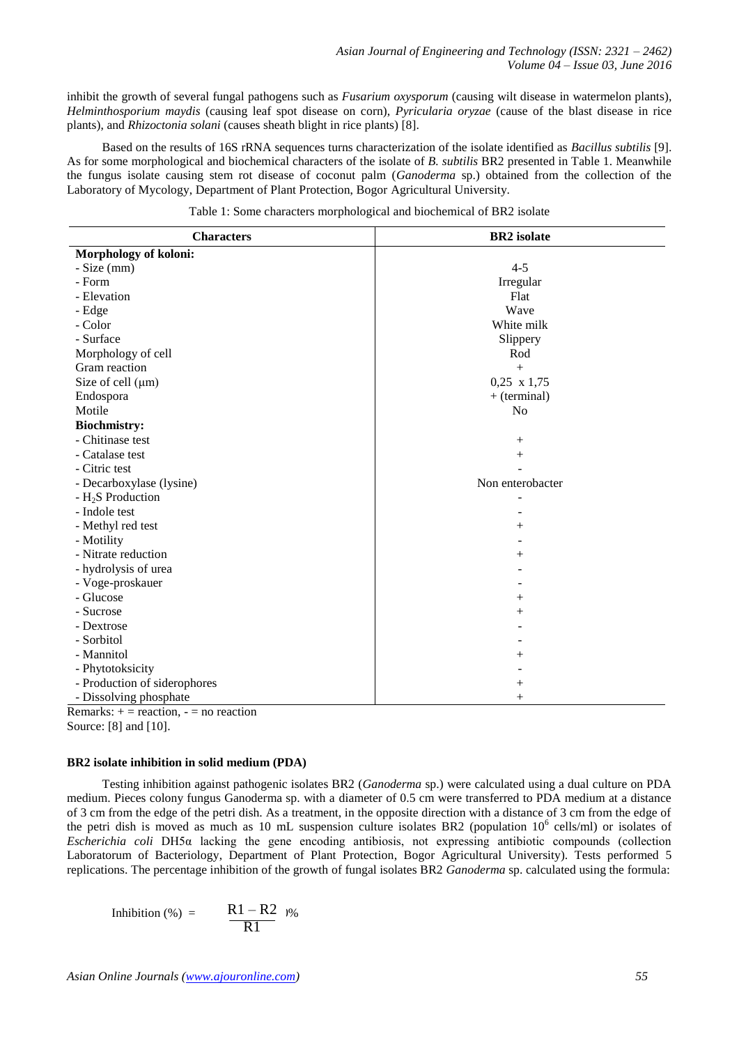inhibit the growth of several fungal pathogens such as *Fusarium oxysporum* (causing wilt disease in watermelon plants), *Helminthosporium maydis* (causing leaf spot disease on corn), *Pyricularia oryzae* (cause of the blast disease in rice plants), and *Rhizoctonia solani* (causes sheath blight in rice plants) [8].

Based on the results of 16S rRNA sequences turns characterization of the isolate identified as *Bacillus subtilis* [9]. As for some morphological and biochemical characters of the isolate of *B. subtilis* BR2 presented in Table 1. Meanwhile the fungus isolate causing stem rot disease of coconut palm (*Ganoderma* sp.) obtained from the collection of the Laboratory of Mycology, Department of Plant Protection, Bogor Agricultural University.

| Morphology of koloni:         |                    |  |
|-------------------------------|--------------------|--|
|                               |                    |  |
| - Size (mm)                   | $4 - 5$            |  |
| - Form                        | Irregular          |  |
| - Elevation                   | Flat               |  |
| - Edge                        | Wave               |  |
| - Color                       | White milk         |  |
| - Surface                     | Slippery           |  |
| Morphology of cell            | Rod                |  |
| Gram reaction                 | $^{+}$             |  |
| Size of cell $(\mu m)$        | $0,25 \times 1,75$ |  |
| Endospora                     | $+$ (terminal)     |  |
| Motile                        | N <sub>o</sub>     |  |
| <b>Biochmistry:</b>           |                    |  |
| - Chitinase test              | $^{+}$             |  |
| - Catalase test               | $^{+}$             |  |
| - Citric test                 |                    |  |
| - Decarboxylase (lysine)      | Non enterobacter   |  |
| - H <sub>2</sub> S Production |                    |  |
| - Indole test                 |                    |  |
| - Methyl red test             | $^+$               |  |
| - Motility                    |                    |  |
| - Nitrate reduction           | $^+$               |  |
| - hydrolysis of urea          |                    |  |
| - Voge-proskauer              |                    |  |
| - Glucose                     | $\hspace{0.1mm} +$ |  |
| - Sucrose                     | $^{+}$             |  |
| - Dextrose                    |                    |  |
| - Sorbitol                    |                    |  |
| - Mannitol                    | $^{+}$             |  |
| - Phytotoksicity              |                    |  |
| - Production of siderophores  | $^{+}$             |  |
| - Dissolving phosphate        | $^{+}$             |  |

Table 1: Some characters morphological and biochemical of BR2 isolate

Remarks:  $+$  = reaction,  $-$  = no reaction Source: [8] and [10].

#### **BR2 isolate inhibition in solid medium (PDA)**

Testing inhibition against pathogenic isolates BR2 (*Ganoderma* sp.) were calculated using a dual culture on PDA medium. Pieces colony fungus Ganoderma sp. with a diameter of 0.5 cm were transferred to PDA medium at a distance of 3 cm from the edge of the petri dish. As a treatment, in the opposite direction with a distance of 3 cm from the edge of the petri dish is moved as much as 10 mL suspension culture isolates BR2 (population  $10^6$  cells/ml) or isolates of *Escherichia coli* DH5α lacking the gene encoding antibiosis, not expressing antibiotic compounds (collection Laboratorum of Bacteriology, Department of Plant Protection, Bogor Agricultural University). Tests performed 5 replications. The percentage inhibition of the growth of fungal isolates BR2 *Ganoderma* sp. calculated using the formula:

$$
Inhibition (\%) = \qquad \frac{R1 - R2}{R1} \text{ } \frac{1\%}{R1}
$$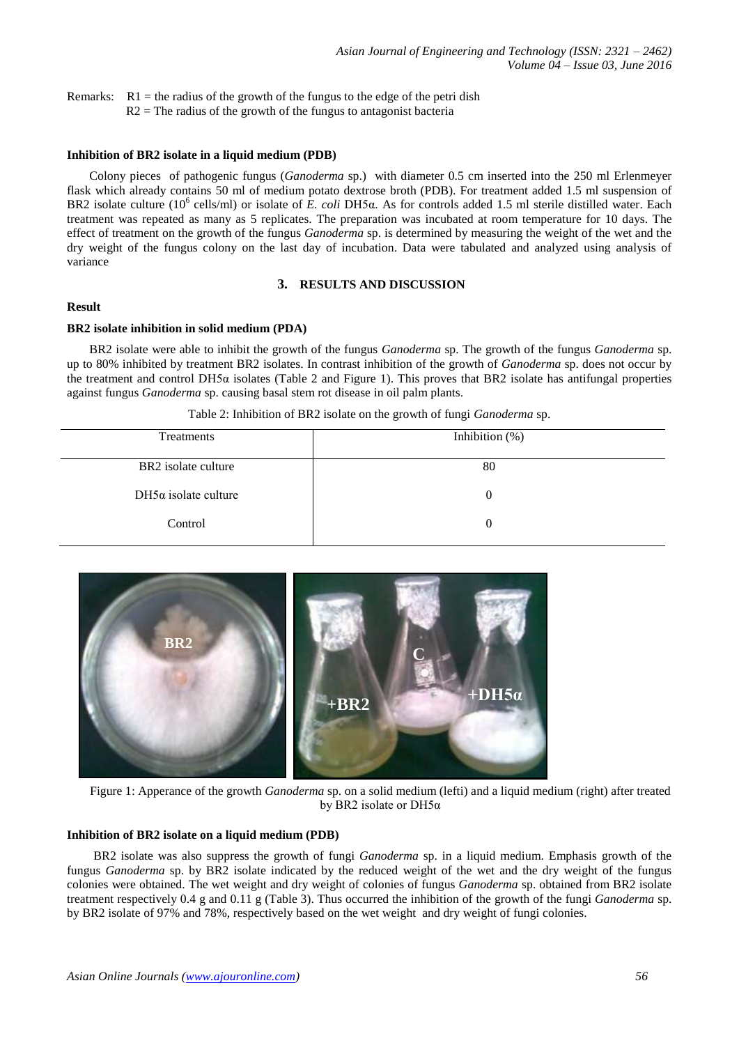Remarks:  $R1$  = the radius of the growth of the fungus to the edge of the petri dish  $R2$  = The radius of the growth of the fungus to antagonist bacteria

### **Inhibition of BR2 isolate in a liquid medium (PDB)**

Colony pieces of pathogenic fungus (*Ganoderma* sp.) with diameter 0.5 cm inserted into the 250 ml Erlenmeyer flask which already contains 50 ml of medium potato dextrose broth (PDB). For treatment added 1.5 ml suspension of BR2 isolate culture (10<sup>6</sup> cells/ml) or isolate of *E. coli* DH5α. As for controls added 1.5 ml sterile distilled water. Each treatment was repeated as many as 5 replicates. The preparation was incubated at room temperature for 10 days. The effect of treatment on the growth of the fungus *Ganoderma* sp. is determined by measuring the weight of the wet and the dry weight of the fungus colony on the last day of incubation. Data were tabulated and analyzed using analysis of variance

## **3. RESULTS AND DISCUSSION**

# **Result**

## **BR2 isolate inhibition in solid medium (PDA)**

BR2 isolate were able to inhibit the growth of the fungus *Ganoderma* sp. The growth of the fungus *Ganoderma* sp. up to 80% inhibited by treatment BR2 isolates. In contrast inhibition of the growth of *Ganoderma* sp. does not occur by the treatment and control DH5 $\alpha$  isolates (Table 2 and Figure 1). This proves that BR2 isolate has antifungal properties against fungus *Ganoderma* sp. causing basal stem rot disease in oil palm plants.

| Treatments                  | Inhibition $(\%)$ |
|-----------------------------|-------------------|
|                             |                   |
| BR2 isolate culture         | 80                |
|                             |                   |
| $DH5\alpha$ isolate culture | $\theta$          |
|                             |                   |
| Control                     | $\theta$          |
|                             |                   |

Table 2: Inhibition of BR2 isolate on the growth of fungi *Ganoderma* sp.



Figure 1: Apperance of the growth *Ganoderma* sp. on a solid medium (lefti) and a liquid medium (right) after treated by BR2 isolate or DH5α

## **Inhibition of BR2 isolate on a liquid medium (PDB)**

BR2 isolate was also suppress the growth of fungi *Ganoderma* sp. in a liquid medium. Emphasis growth of the fungus *Ganoderma* sp. by BR2 isolate indicated by the reduced weight of the wet and the dry weight of the fungus colonies were obtained. The wet weight and dry weight of colonies of fungus *Ganoderma* sp. obtained from BR2 isolate treatment respectively 0.4 g and 0.11 g (Table 3). Thus occurred the inhibition of the growth of the fungi *Ganoderma* sp. by BR2 isolate of 97% and 78%, respectively based on the wet weight and dry weight of fungi colonies.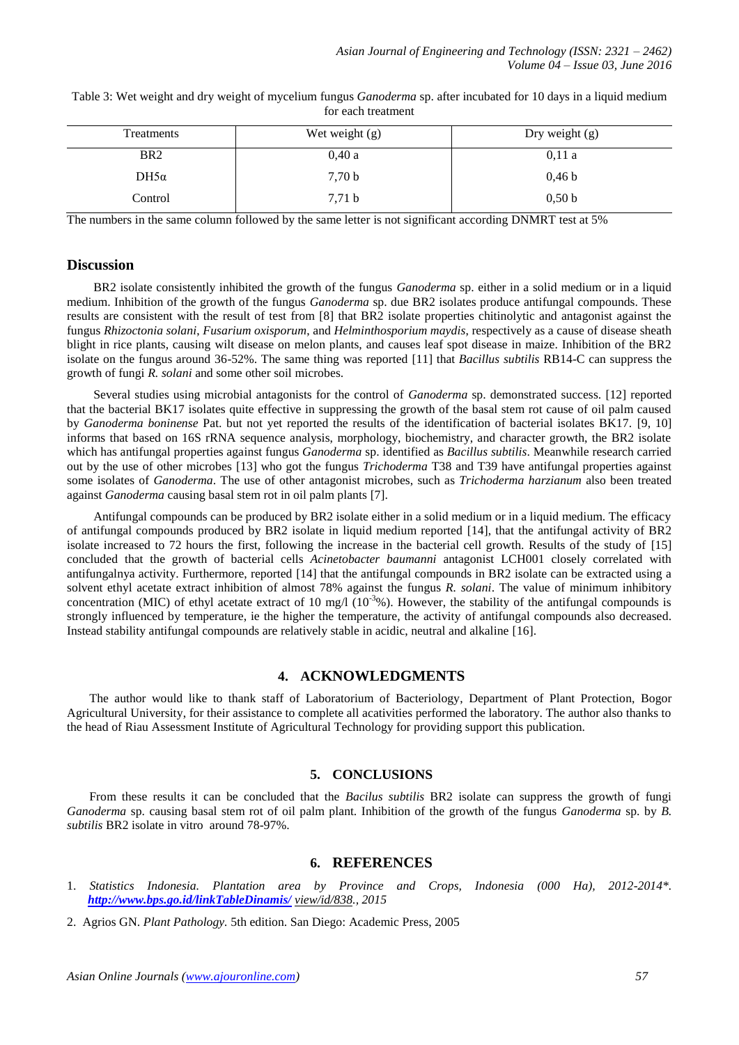| Table 3: Wet weight and dry weight of mycelium fungus Ganoderma sp. after incubated for 10 days in a liquid medium |  |
|--------------------------------------------------------------------------------------------------------------------|--|
| for each treatment                                                                                                 |  |

| Treatments      | Wet weight $(g)$ | Dry weight $(g)$  |
|-----------------|------------------|-------------------|
| BR <sub>2</sub> | 0,40a            | 0.11a             |
| $DH5\alpha$     | 7,70 b           | 0.46 <sub>b</sub> |
| Control         | 7,71 b           | 0.50 <sub>b</sub> |

The numbers in the same column followed by the same letter is not significant according DNMRT test at 5%

## **Discussion**

BR2 isolate consistently inhibited the growth of the fungus *Ganoderma* sp. either in a solid medium or in a liquid medium. Inhibition of the growth of the fungus *Ganoderma* sp. due BR2 isolates produce antifungal compounds. These results are consistent with the result of test from [8] that BR2 isolate properties chitinolytic and antagonist against the fungus *Rhizoctonia solani*, *Fusarium oxisporum*, and *Helminthosporium maydis*, respectively as a cause of disease sheath blight in rice plants, causing wilt disease on melon plants, and causes leaf spot disease in maize. Inhibition of the BR2 isolate on the fungus around 36-52%. The same thing was reported [11] that *Bacillus subtilis* RB14-C can suppress the growth of fungi *R. solani* and some other soil microbes.

Several studies using microbial antagonists for the control of *Ganoderma* sp. demonstrated success. [12] reported that the bacterial BK17 isolates quite effective in suppressing the growth of the basal stem rot cause of oil palm caused by *Ganoderma boninense* Pat. but not yet reported the results of the identification of bacterial isolates BK17. [9, 10] informs that based on 16S rRNA sequence analysis, morphology, biochemistry, and character growth, the BR2 isolate which has antifungal properties against fungus *Ganoderma* sp. identified as *Bacillus subtilis*. Meanwhile research carried out by the use of other microbes [13] who got the fungus *Trichoderma* T38 and T39 have antifungal properties against some isolates of *Ganoderma*. The use of other antagonist microbes, such as *Trichoderma harzianum* also been treated against *Ganoderma* causing basal stem rot in oil palm plants [7].

Antifungal compounds can be produced by BR2 isolate either in a solid medium or in a liquid medium. The efficacy of antifungal compounds produced by BR2 isolate in liquid medium reported [14], that the antifungal activity of BR2 isolate increased to 72 hours the first, following the increase in the bacterial cell growth. Results of the study of [15] concluded that the growth of bacterial cells *Acinetobacter baumanni* antagonist LCH001 closely correlated with antifungalnya activity. Furthermore, reported [14] that the antifungal compounds in BR2 isolate can be extracted using a solvent ethyl acetate extract inhibition of almost 78% against the fungus *R. solani*. The value of minimum inhibitory concentration (MIC) of ethyl acetate extract of 10 mg/l  $(10^{-3})\%$ ). However, the stability of the antifungal compounds is strongly influenced by temperature, ie the higher the temperature, the activity of antifungal compounds also decreased. Instead stability antifungal compounds are relatively stable in acidic, neutral and alkaline [16].

# **4. ACKNOWLEDGMENTS**

The author would like to thank staff of Laboratorium of Bacteriology, Department of Plant Protection, Bogor Agricultural University, for their assistance to complete all acativities performed the laboratory. The author also thanks to the head of Riau Assessment Institute of Agricultural Technology for providing support this publication.

## **5. CONCLUSIONS**

From these results it can be concluded that the *Bacilus subtilis* BR2 isolate can suppress the growth of fungi *Ganoderma* sp. causing basal stem rot of oil palm plant. Inhibition of the growth of the fungus *Ganoderma* sp. by *B. subtilis* BR2 isolate in vitro around 78-97%.

## **6. REFERENCES**

- 1. *Statistics Indonesia. Plantation area by Province and Crops, Indonesia (000 Ha), 2012-2014\*. <http://www.bps.go.id/linkTableDinamis/> view/id/838., 2015*
- 2. Agrios GN. *Plant Pathology.* 5th edition. San Diego: Academic Press, 2005